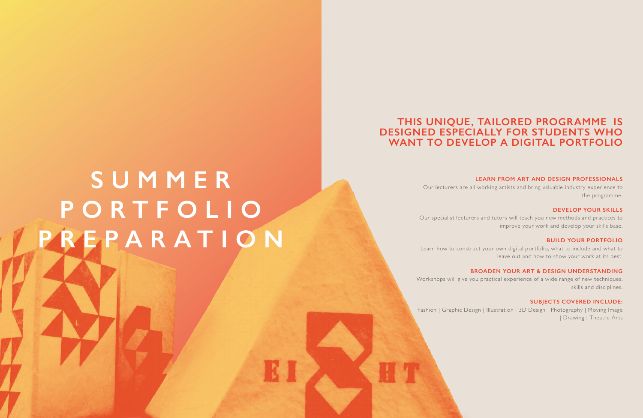# **THIS UNIQUE, TAILORED PROGRAMME IS DESIGNED ESPECIALLY FOR STUDENTS WHO WANT TO DEVELOP A DIGITAL PORTFOLIO**

#### **LEARN FROM ART AND DESIGN PROFESSIONALS**

Our lecturers are all working artists and bring valuable industry experience to the programme.

#### **DEVELOP YOUR SKILLS**

Our specialist lecturers and tutors will teach you new methods and practices to improve your work and develop your skills base.

#### **BUILD YOUR PORTFOLIO**

Learn how to construct your own digital portfolio, what to include and what to leave out and how to show your work at its best.

#### **BROADEN YOUR ART & DESIGN UNDERSTANDING**

Workshops will give you practical experience of a wide range of new techniques, skills and disciplines.

#### **SUBJECTS COVERED INCLUDE:**

Fashion | Graphic Design | Illustration | 3D Design | Photography | Moving Image | Drawing | Theatre Arts

# **S U M M E R P O R T F O L I O PREPARATION**